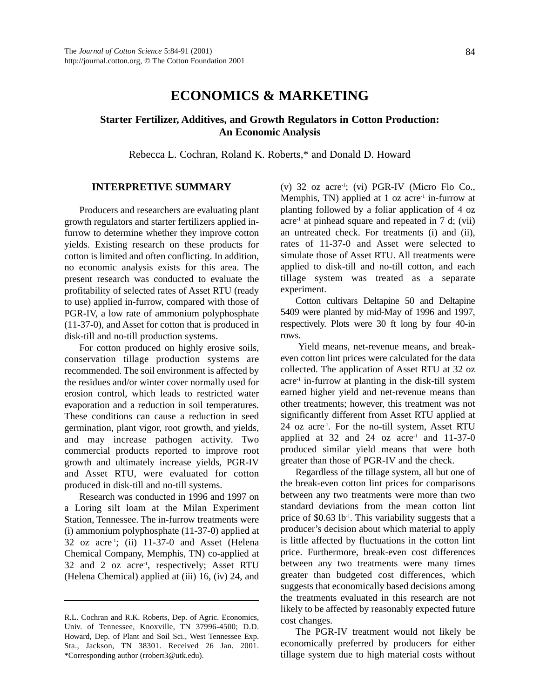# **ECONOMICS & MARKETING**

## **Starter Fertilizer, Additives, and Growth Regulators in Cotton Production: An Economic Analysis**

Rebecca L. Cochran, Roland K. Roberts,\* and Donald D. Howard

## **INTERPRETIVE SUMMARY**

Producers and researchers are evaluating plant growth regulators and starter fertilizers applied infurrow to determine whether they improve cotton yields. Existing research on these products for cotton is limited and often conflicting. In addition, no economic analysis exists for this area. The present research was conducted to evaluate the profitability of selected rates of Asset RTU (ready to use) applied in-furrow, compared with those of PGR-IV, a low rate of ammonium polyphosphate (11-37-0), and Asset for cotton that is produced in disk-till and no-till production systems.

For cotton produced on highly erosive soils, conservation tillage production systems are recommended. The soil environment is affected by the residues and/or winter cover normally used for erosion control, which leads to restricted water evaporation and a reduction in soil temperatures. These conditions can cause a reduction in seed germination, plant vigor, root growth, and yields, and may increase pathogen activity. Two commercial products reported to improve root growth and ultimately increase yields, PGR-IV and Asset RTU, were evaluated for cotton produced in disk-till and no-till systems.

Research was conducted in 1996 and 1997 on a Loring silt loam at the Milan Experiment Station, Tennessee. The in-furrow treatments were (i) ammonium polyphosphate (11-37-0) applied at  $32$  oz acre<sup>-1</sup>; (ii)  $11-37-0$  and Asset (Helena Chemical Company, Memphis, TN) co-applied at 32 and 2 oz acre<sup>-1</sup>, respectively; Asset RTU (Helena Chemical) applied at (iii) 16, (iv) 24, and

(v)  $32$  oz acre<sup>-1</sup>; (vi) PGR-IV (Micro Flo Co., Memphis, TN) applied at  $1$  oz acre<sup>-1</sup> in-furrow at planting followed by a foliar application of 4 oz  $\alpha$  acre<sup>-1</sup> at pinhead square and repeated in 7 d; (vii) an untreated check. For treatments (i) and (ii), rates of 11-37-0 and Asset were selected to simulate those of Asset RTU. All treatments were applied to disk-till and no-till cotton, and each tillage system was treated as a separate experiment.

Cotton cultivars Deltapine 50 and Deltapine 5409 were planted by mid-May of 1996 and 1997, respectively. Plots were 30 ft long by four 40-in rows.

Yield means, net-revenue means, and breakeven cotton lint prices were calculated for the data collected. The application of Asset RTU at 32 oz  $\alpha$  acre<sup>-1</sup> in-furrow at planting in the disk-till system earned higher yield and net-revenue means than other treatments; however, this treatment was not significantly different from Asset RTU applied at 24 oz acre-1. For the no-till system, Asset RTU applied at 32 and 24 oz  $a$ cre<sup>-1</sup> and 11-37-0 produced similar yield means that were both greater than those of PGR-IV and the check.

Regardless of the tillage system, all but one of the break-even cotton lint prices for comparisons between any two treatments were more than two standard deviations from the mean cotton lint price of  $$0.63$  lb<sup>-1</sup>. This variability suggests that a producer's decision about which material to apply is little affected by fluctuations in the cotton lint price. Furthermore, break-even cost differences between any two treatments were many times greater than budgeted cost differences, which suggests that economically based decisions among the treatments evaluated in this research are not likely to be affected by reasonably expected future cost changes.

The PGR-IV treatment would not likely be economically preferred by producers for either tillage system due to high material costs without

R.L. Cochran and R.K. Roberts, Dep. of Agric. Economics, Univ. of Tennessee, Knoxville, TN 37996-4500; D.D. Howard, Dep. of Plant and Soil Sci., West Tennessee Exp. Sta., Jackson, TN 38301. Received 26 Jan. 2001. \*Corresponding author (rrobert3@utk.edu).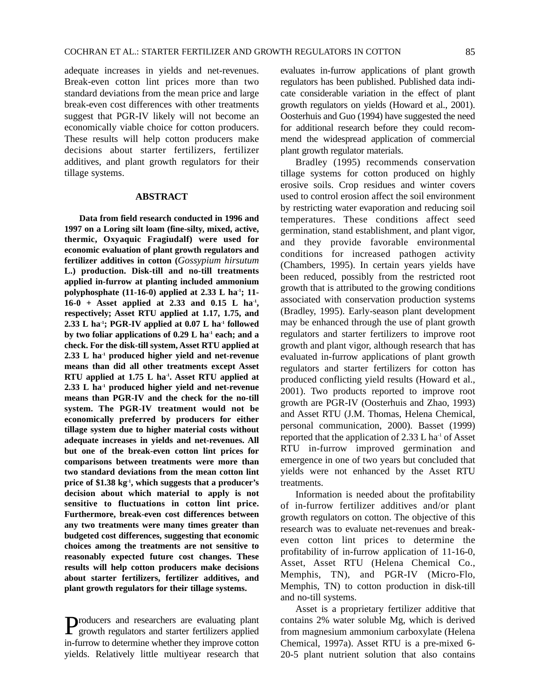adequate increases in yields and net-revenues. Break-even cotton lint prices more than two standard deviations from the mean price and large break-even cost differences with other treatments suggest that PGR-IV likely will not become an economically viable choice for cotton producers. These results will help cotton producers make decisions about starter fertilizers, fertilizer additives, and plant growth regulators for their tillage systems.

#### **ABSTRACT**

**Data from field research conducted in 1996 and 1997 on a Loring silt loam (fine-silty, mixed, active, thermic, Oxyaquic Fragiudalf) were used for economic evaluation of plant growth regulators and fertilizer additives in cotton (***Gossypium hirsutum* **L.) production. Disk-till and no-till treatments applied in-furrow at planting included ammonium polyphosphate (11-16-0) applied at 2.33 L ha-1; 11- 16-0 + Asset applied at 2.33 and 0.15 L ha-1, respectively; Asset RTU applied at 1.17, 1.75, and 2.33 L ha-1; PGR-IV applied at 0.07 L ha-1 followed by two foliar applications of 0.29 L ha-1 each; and a check. For the disk-till system, Asset RTU applied at 2.33 L ha-1 produced higher yield and net-revenue means than did all other treatments except Asset RTU applied at 1.75 L ha-1. Asset RTU applied at 2.33 L ha-1 produced higher yield and net-revenue means than PGR-IV and the check for the no-till system. The PGR-IV treatment would not be economically preferred by producers for either tillage system due to higher material costs without adequate increases in yields and net-revenues. All but one of the break-even cotton lint prices for comparisons between treatments were more than two standard deviations from the mean cotton lint price of \$1.38 kg-1, which suggests that a producer's decision about which material to apply is not sensitive to fluctuations in cotton lint price. Furthermore, break-even cost differences between any two treatments were many times greater than budgeted cost differences, suggesting that economic choices among the treatments are not sensitive to reasonably expected future cost changes. These results will help cotton producers make decisions about starter fertilizers, fertilizer additives, and plant growth regulators for their tillage systems.**

Producers and researchers are evaluating plant growth regulators and starter fertilizers applied in-furrow to determine whether they improve cotton yields. Relatively little multiyear research that

evaluates in-furrow applications of plant growth regulators has been published. Published data indicate considerable variation in the effect of plant growth regulators on yields (Howard et al., 2001). Oosterhuis and Guo (1994) have suggested the need for additional research before they could recommend the widespread application of commercial plant growth regulator materials.

Bradley (1995) recommends conservation tillage systems for cotton produced on highly erosive soils. Crop residues and winter covers used to control erosion affect the soil environment by restricting water evaporation and reducing soil temperatures. These conditions affect seed germination, stand establishment, and plant vigor, and they provide favorable environmental conditions for increased pathogen activity (Chambers, 1995). In certain years yields have been reduced, possibly from the restricted root growth that is attributed to the growing conditions associated with conservation production systems (Bradley, 1995). Early-season plant development may be enhanced through the use of plant growth regulators and starter fertilizers to improve root growth and plant vigor, although research that has evaluated in-furrow applications of plant growth regulators and starter fertilizers for cotton has produced conflicting yield results (Howard et al., 2001). Two products reported to improve root growth are PGR-IV (Oosterhuis and Zhao, 1993) and Asset RTU (J.M. Thomas, Helena Chemical, personal communication, 2000). Basset (1999) reported that the application of  $2.33$  L ha<sup>-1</sup> of Asset RTU in-furrow improved germination and emergence in one of two years but concluded that yields were not enhanced by the Asset RTU treatments.

Information is needed about the profitability of in-furrow fertilizer additives and/or plant growth regulators on cotton. The objective of this research was to evaluate net-revenues and breakeven cotton lint prices to determine the profitability of in-furrow application of 11-16-0, Asset, Asset RTU (Helena Chemical Co., Memphis, TN), and PGR-IV (Micro-Flo, Memphis, TN) to cotton production in disk-till and no-till systems.

Asset is a proprietary fertilizer additive that contains 2% water soluble Mg, which is derived from magnesium ammonium carboxylate (Helena Chemical, 1997a). Asset RTU is a pre-mixed 6- 20-5 plant nutrient solution that also contains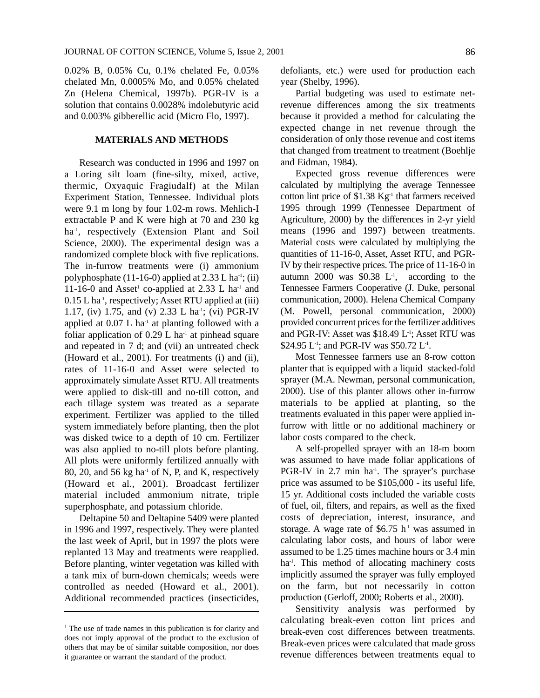0.02% B, 0.05% Cu, 0.1% chelated Fe, 0.05% chelated Mn, 0.0005% Mo, and 0.05% chelated Zn (Helena Chemical, 1997b). PGR-IV is a solution that contains 0.0028% indolebutyric acid and 0.003% gibberellic acid (Micro Flo, 1997).

## **MATERIALS AND METHODS**

Research was conducted in 1996 and 1997 on a Loring silt loam (fine-silty, mixed, active, thermic, Oxyaquic Fragiudalf) at the Milan Experiment Station, Tennessee. Individual plots were 9.1 m long by four 1.02-m rows. Mehlich-I extractable P and K were high at 70 and 230 kg ha<sup>-1</sup>, respectively (Extension Plant and Soil Science, 2000). The experimental design was a randomized complete block with five replications. The in-furrow treatments were (i) ammonium polyphosphate (11-16-0) applied at  $2.33$  L ha<sup>-1</sup>; (ii) 11-16-0 and Asset<sup>1</sup> co-applied at 2.33 L ha<sup>-1</sup> and 0.15 L ha<sup>-1</sup>, respectively; Asset RTU applied at (iii) 1.17, (iv) 1.75, and (v) 2.33 L ha<sup>-1</sup>; (vi) PGR-IV applied at  $0.07$  L ha<sup>-1</sup> at planting followed with a foliar application of  $0.29$  L ha<sup>-1</sup> at pinhead square and repeated in 7 d; and (vii) an untreated check (Howard et al., 2001). For treatments (i) and (ii), rates of 11-16-0 and Asset were selected to approximately simulate Asset RTU. All treatments were applied to disk-till and no-till cotton, and each tillage system was treated as a separate experiment. Fertilizer was applied to the tilled system immediately before planting, then the plot was disked twice to a depth of 10 cm. Fertilizer was also applied to no-till plots before planting. All plots were uniformly fertilized annually with 80, 20, and 56 kg ha<sup>-1</sup> of N, P, and K, respectively (Howard et al., 2001). Broadcast fertilizer material included ammonium nitrate, triple superphosphate, and potassium chloride.

Deltapine 50 and Deltapine 5409 were planted in 1996 and 1997, respectively. They were planted the last week of April, but in 1997 the plots were replanted 13 May and treatments were reapplied. Before planting, winter vegetation was killed with a tank mix of burn-down chemicals; weeds were controlled as needed (Howard et al., 2001). Additional recommended practices (insecticides, defoliants, etc.) were used for production each year (Shelby, 1996).

Partial budgeting was used to estimate netrevenue differences among the six treatments because it provided a method for calculating the expected change in net revenue through the consideration of only those revenue and cost items that changed from treatment to treatment (Boehlje and Eidman, 1984).

Expected gross revenue differences were calculated by multiplying the average Tennessee cotton lint price of  $$1.38$  Kg<sup>-1</sup> that farmers received 1995 through 1999 (Tennessee Department of Agriculture, 2000) by the differences in 2-yr yield means (1996 and 1997) between treatments. Material costs were calculated by multiplying the quantities of 11-16-0, Asset, Asset RTU, and PGR-IV by their respective prices. The price of 11-16-0 in autumn 2000 was  $$0.38$  L<sup>-1</sup>, according to the Tennessee Farmers Cooperative (J. Duke, personal communication, 2000). Helena Chemical Company (M. Powell, personal communication, 2000) provided concurrent prices for the fertilizer additives and PGR-IV: Asset was \$18.49 L-1; Asset RTU was \$24.95 L<sup>-1</sup>; and PGR-IV was \$50.72 L<sup>-1</sup>.

Most Tennessee farmers use an 8-row cotton planter that is equipped with a liquid stacked-fold sprayer (M.A. Newman, personal communication, 2000). Use of this planter allows other in-furrow materials to be applied at planting, so the treatments evaluated in this paper were applied infurrow with little or no additional machinery or labor costs compared to the check.

A self-propelled sprayer with an 18-m boom was assumed to have made foliar applications of PGR-IV in  $2.7$  min ha<sup>-1</sup>. The sprayer's purchase price was assumed to be \$105,000 - its useful life, 15 yr. Additional costs included the variable costs of fuel, oil, filters, and repairs, as well as the fixed costs of depreciation, interest, insurance, and storage. A wage rate of  $$6.75 \text{ h}$ <sup>1</sup> was assumed in calculating labor costs, and hours of labor were assumed to be 1.25 times machine hours or 3.4 min ha<sup>-1</sup>. This method of allocating machinery costs implicitly assumed the sprayer was fully employed on the farm, but not necessarily in cotton production (Gerloff, 2000; Roberts et al., 2000).

Sensitivity analysis was performed by calculating break-even cotton lint prices and break-even cost differences between treatments. Break-even prices were calculated that made gross revenue differences between treatments equal to

<sup>&</sup>lt;sup>1</sup> The use of trade names in this publication is for clarity and does not imply approval of the product to the exclusion of others that may be of similar suitable composition, nor does it guarantee or warrant the standard of the product.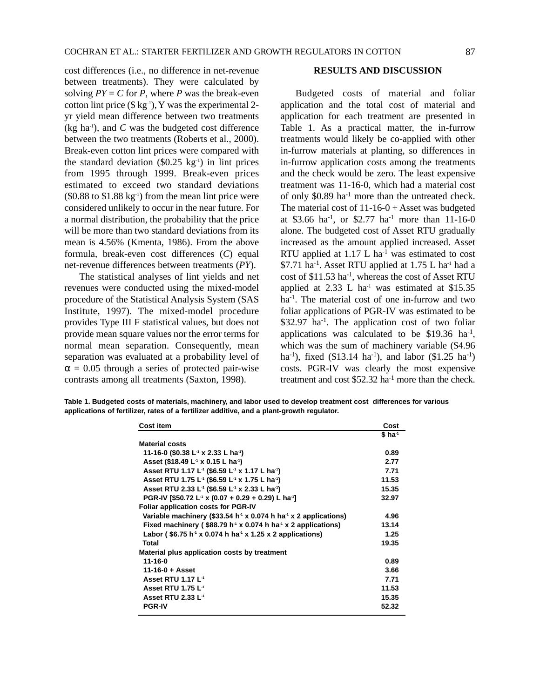cost differences (i.e., no difference in net-revenue between treatments). They were calculated by solving  $PY = C$  for P, where P was the break-even cotton lint price  $(\$\text{kg}^{-1})$ , Y was the experimental 2yr yield mean difference between two treatments  $(kg \text{ ha}^{-1})$ , and *C* was the budgeted cost difference between the two treatments (Roberts et al., 2000). Break-even cotton lint prices were compared with the standard deviation  $(\$0.25 \text{ kg}^{-1})$  in lint prices from 1995 through 1999. Break-even prices estimated to exceed two standard deviations  $(\$0.88$  to  $\$1.88$  kg<sup>-1</sup>) from the mean lint price were considered unlikely to occur in the near future. For a normal distribution, the probability that the price will be more than two standard deviations from its mean is 4.56% (Kmenta, 1986). From the above formula, break-even cost differences (*C*) equal net-revenue differences between treatments (*PY*).

The statistical analyses of lint yields and net revenues were conducted using the mixed-model procedure of the Statistical Analysis System (SAS Institute, 1997). The mixed-model procedure provides Type III F statistical values, but does not provide mean square values nor the error terms for normal mean separation. Consequently, mean separation was evaluated at a probability level of  $\alpha$  = 0.05 through a series of protected pair-wise contrasts among all treatments (Saxton, 1998).

### **RESULTS AND DISCUSSION**

Budgeted costs of material and foliar application and the total cost of material and application for each treatment are presented in Table 1. As a practical matter, the in-furrow treatments would likely be co-applied with other in-furrow materials at planting, so differences in in-furrow application costs among the treatments and the check would be zero. The least expensive treatment was 11-16-0, which had a material cost of only \$0.89 ha-1 more than the untreated check. The material cost of  $11-16-0 +$  Asset was budgeted at \$3.66 ha<sup>-1</sup>, or \$2.77 ha<sup>-1</sup> more than 11-16-0 alone. The budgeted cost of Asset RTU gradually increased as the amount applied increased. Asset RTU applied at  $1.17$  L ha<sup>-1</sup> was estimated to cost  $$7.71$  ha<sup>-1</sup>. Asset RTU applied at 1.75 L ha<sup>-1</sup> had a cost of \$11.53 ha-1, whereas the cost of Asset RTU applied at  $2.33$  L ha<sup>-1</sup> was estimated at \$15.35 ha<sup>-1</sup>. The material cost of one in-furrow and two foliar applications of PGR-IV was estimated to be  $$32.97$  ha<sup>-1</sup>. The application cost of two foliar applications was calculated to be  $$19.36$  ha<sup>-1</sup>, which was the sum of machinery variable (\$4.96 ha<sup>-1</sup>), fixed (\$13.14 ha<sup>-1</sup>), and labor (\$1.25 ha<sup>-1</sup>) costs. PGR-IV was clearly the most expensive treatment and cost  $$52.32$  ha<sup>-1</sup> more than the check.

**Table 1. Budgeted costs of materials, machinery, and labor used to develop treatment cost differences for various applications of fertilizer, rates of a fertilizer additive, and a plant-growth regulator.**

| <b>Cost item</b>                                                                         | Cost                 |
|------------------------------------------------------------------------------------------|----------------------|
|                                                                                          | $$$ ha <sup>-1</sup> |
| <b>Material costs</b>                                                                    |                      |
| 11-16-0 (\$0.38 L <sup>-1</sup> x 2.33 L ha <sup>-1</sup> )                              | 0.89                 |
| Asset (\$18.49 L <sup>-1</sup> x 0.15 L ha <sup>-1</sup> )                               | 2.77                 |
| Asset RTU 1.17 L <sup>4</sup> (\$6.59 L <sup>4</sup> x 1.17 L ha <sup>4</sup> )          | 7.71                 |
| Asset RTU 1.75 L <sup>4</sup> (\$6.59 L <sup>4</sup> x 1.75 L ha <sup>4</sup> )          | 11.53                |
| Asset RTU 2.33 L <sup>4</sup> (\$6.59 L <sup>4</sup> x 2.33 L ha <sup>4</sup> )          | 15.35                |
| PGR-IV [\$50.72 L <sup>-1</sup> x (0.07 + 0.29 + 0.29) L ha <sup>-1</sup> ]              | 32.97                |
| <b>Foliar application costs for PGR-IV</b>                                               |                      |
| Variable machinery (\$33.54 h <sup>-1</sup> x 0.074 h ha <sup>-1</sup> x 2 applications) | 4.96                 |
| Fixed machinery ( $$88.79 h4$ x 0.074 h ha <sup><math>4</math></sup> x 2 applications)   | 13.14                |
| Labor (\$6.75 h <sup>-1</sup> x 0.074 h ha <sup>-1</sup> x 1.25 x 2 applications)        | 1.25                 |
| <b>Total</b>                                                                             | 19.35                |
| Material plus application costs by treatment                                             |                      |
| $11 - 16 - 0$                                                                            | 0.89                 |
| $11 - 16 - 0 +$ Asset                                                                    | 3.66                 |
| <b>Asset RTU 1.17 L<sup>-1</sup></b>                                                     | 7.71                 |
| <b>Asset RTU 1.75 L<sup>-1</sup></b>                                                     | 11.53                |
| <b>Asset RTU 2.33 L<sup>-1</sup></b>                                                     | 15.35                |
| <b>PGR-IV</b>                                                                            | 52.32                |
|                                                                                          |                      |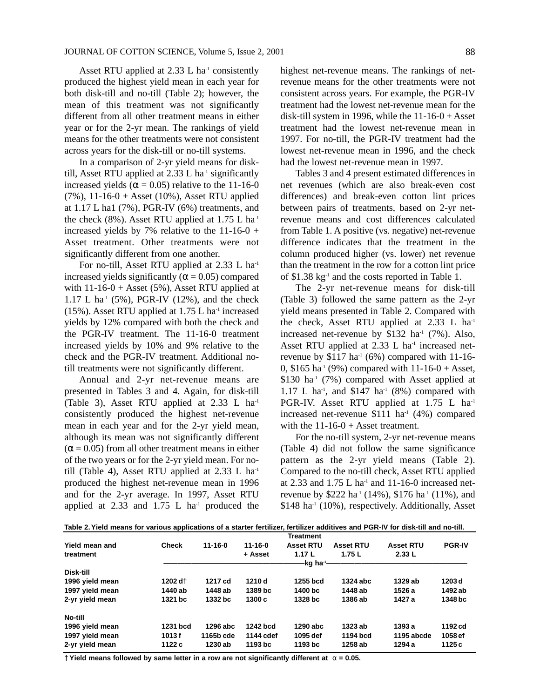Asset RTU applied at  $2.33$  L ha<sup>-1</sup> consistently produced the highest yield mean in each year for both disk-till and no-till (Table 2); however, the mean of this treatment was not significantly different from all other treatment means in either year or for the 2-yr mean. The rankings of yield means for the other treatments were not consistent across years for the disk-till or no-till systems.

In a comparison of 2-yr yield means for disktill, Asset RTU applied at  $2.33$  L ha<sup>-1</sup> significantly increased yields ( $\alpha$  = 0.05) relative to the 11-16-0  $(7\%)$ , 11-16-0 + Asset (10%), Asset RTU applied at 1.17 L ha1 (7%), PGR-IV (6%) treatments, and the check (8%). Asset RTU applied at  $1.75$  L ha<sup>-1</sup> increased yields by 7% relative to the  $11-16-0$  + Asset treatment. Other treatments were not significantly different from one another.

For no-till, Asset RTU applied at 2.33 L ha<sup>-1</sup> increased yields significantly ( $\alpha$  = 0.05) compared with  $11-16-0 +$  Asset (5%), Asset RTU applied at 1.17 L ha<sup>-1</sup> (5%), PGR-IV (12%), and the check (15%). Asset RTU applied at  $1.75$  L ha<sup>-1</sup> increased yields by 12% compared with both the check and the PGR-IV treatment. The 11-16-0 treatment increased yields by 10% and 9% relative to the check and the PGR-IV treatment. Additional notill treatments were not significantly different.

Annual and 2-yr net-revenue means are presented in Tables 3 and 4. Again, for disk-till (Table 3), Asset RTU applied at 2.33 L ha-1 consistently produced the highest net-revenue mean in each year and for the 2-yr yield mean, although its mean was not significantly different  $(\alpha = 0.05)$  from all other treatment means in either of the two years or for the 2-yr yield mean. For notill (Table 4), Asset RTU applied at  $2.33$  L ha<sup>-1</sup> produced the highest net-revenue mean in 1996 and for the 2-yr average. In 1997, Asset RTU applied at  $2.33$  and  $1.75$  L ha<sup>-1</sup> produced the

highest net-revenue means. The rankings of netrevenue means for the other treatments were not consistent across years. For example, the PGR-IV treatment had the lowest net-revenue mean for the disk-till system in 1996, while the  $11-16-0 +$  Asset treatment had the lowest net-revenue mean in 1997. For no-till, the PGR-IV treatment had the lowest net-revenue mean in 1996, and the check had the lowest net-revenue mean in 1997.

Tables 3 and 4 present estimated differences in net revenues (which are also break-even cost differences) and break-even cotton lint prices between pairs of treatments, based on 2-yr netrevenue means and cost differences calculated from Table 1. A positive (vs. negative) net-revenue difference indicates that the treatment in the column produced higher (vs. lower) net revenue than the treatment in the row for a cotton lint price of \$1.38 kg-1 and the costs reported in Table 1.

The 2-yr net-revenue means for disk-till (Table 3) followed the same pattern as the 2-yr yield means presented in Table 2. Compared with the check, Asset RTU applied at  $2.33$  L ha<sup>-1</sup> increased net-revenue by  $$132$  ha<sup>-1</sup> (7%). Also, Asset RTU applied at  $2.33$  L ha<sup>-1</sup> increased netrevenue by  $$117$  ha<sup>-1</sup> (6%) compared with 11-16-0,  $$165$  ha<sup>-1</sup> (9%) compared with  $11-16-0 +$  Asset,  $$130$  ha<sup>-1</sup> (7%) compared with Asset applied at 1.17 L ha<sup>-1</sup>, and \$147 ha<sup>-1</sup> (8%) compared with PGR-IV. Asset RTU applied at 1.75 L ha<sup>-1</sup> increased net-revenue  $$111$  ha<sup>-1</sup> (4%) compared with the  $11-16-0 +$  Asset treatment.

For the no-till system, 2-yr net-revenue means (Table 4) did not follow the same significance pattern as the 2-yr yield means (Table 2). Compared to the no-till check, Asset RTU applied at 2.33 and  $1.75$  L ha<sup>-1</sup> and  $11$ -16-0 increased netrevenue by \$222 ha<sup>-1</sup> (14%), \$176 ha<sup>-1</sup> (11%), and  $$148$  ha<sup>-1</sup> (10%), respectively. Additionally, Asset

|  |  |  |  | Table 2. Yield means for various applications of a starter fertilizer, fertilizer additives and PGR-IV for disk-till and no-till. |  |
|--|--|--|--|-----------------------------------------------------------------------------------------------------------------------------------|--|
|  |  |  |  |                                                                                                                                   |  |

|                 |              |               |               | <b>Treatment</b>       |                  |                  |                   |
|-----------------|--------------|---------------|---------------|------------------------|------------------|------------------|-------------------|
| Yield mean and  | <b>Check</b> | $11 - 16 - 0$ | $11 - 16 - 0$ | <b>Asset RTU</b>       | <b>Asset RTU</b> | <b>Asset RTU</b> | <b>PGR-IV</b>     |
| treatment       |              |               | + Asset       | 1.17L                  | 1.75 $L$         | 2.33L            |                   |
|                 |              |               |               | -kg ha <sup>.</sup> ≀- |                  |                  |                   |
| Disk-till       |              |               |               |                        |                  |                  |                   |
| 1996 yield mean | 1202 dt      | 1217 cd       | 1210 d        | 1255 bcd               | 1324 abc         | 1329 ab          | 1203 <sub>d</sub> |
| 1997 yield mean | 1440 ab      | 1448 ab       | 1389 bc       | 1400 bc                | 1448 ab          | 1526 a           | 1492 ab           |
| 2-yr yield mean | 1321 bc      | 1332 bc       | 1300c         | 1328 bc                | 1386 ab          | 1427 a           | 1348 bc           |
| No-till         |              |               |               |                        |                  |                  |                   |
| 1996 yield mean | 1231 bcd     | 1296 abc      | 1242 bcd      | 1290 abc               | 1323 ab          | 1393a            | 1192 cd           |
| 1997 yield mean | 1013f        | 1165b cde     | 1144 cdef     | 1095 def               | 1194 bcd         | 1195 abcde       | 1058 ef           |
| 2-yr yield mean | 1122 c       | 1230 ab       | 1193 bc       | 1193 bc                | 1258 ab          | 1294 a           | 1125c             |

**† Yield means followed by same letter in a row are not significantly different at** α **= 0.05.**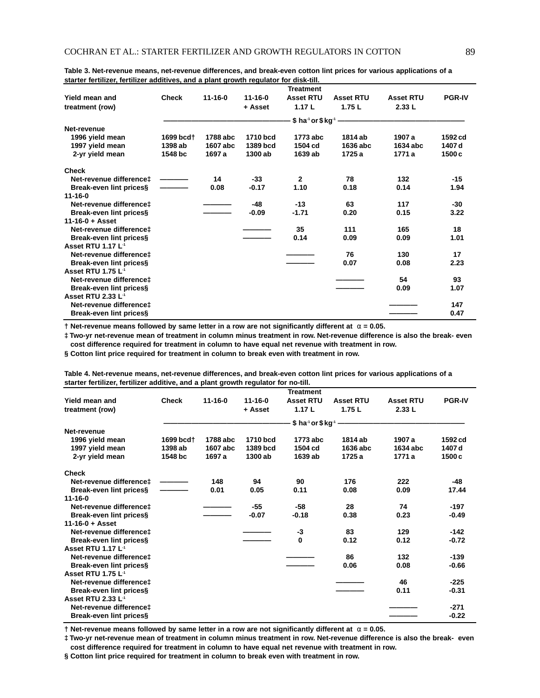|                                     |              |               |               | <b>Treatment</b>                             |                  |                  |               |
|-------------------------------------|--------------|---------------|---------------|----------------------------------------------|------------------|------------------|---------------|
| Yield mean and                      | <b>Check</b> | $11 - 16 - 0$ | $11 - 16 - 0$ | <b>Asset RTU</b>                             | <b>Asset RTU</b> | <b>Asset RTU</b> | <b>PGR-IV</b> |
| treatment (row)                     |              |               | + Asset       | 1.17L                                        | 1.75L            | 2.33L            |               |
|                                     |              |               |               | \$ ha <sup>-1</sup> or \$ kg <sup>-1</sup> - |                  |                  |               |
| Net-revenue                         |              |               |               |                                              |                  |                  |               |
| 1996 yield mean                     | 1699 bcd†    | 1788 abc      | 1710 bcd      | 1773 abc                                     | 1814 ab          | 1907 a           | 1592 cd       |
| 1997 yield mean                     | 1398 ab      | 1607 abc      | 1389 bcd      | 1504 cd                                      | 1636 abc         | 1634 abc         | 1407 d        |
| 2-yr yield mean                     | 1548 bc      | 1697 a        | 1300 ab       | 1639 ab                                      | 1725 a           | 1771 a           | 1500c         |
| <b>Check</b>                        |              |               |               |                                              |                  |                  |               |
| Net-revenue difference‡             |              | 14            | $-33$         | $\mathbf{2}$                                 | 78               | 132              | $-15$         |
| Break-even lint prices§             |              | 0.08          | $-0.17$       | 1.10                                         | 0.18             | 0.14             | 1.94          |
| $11 - 16 - 0$                       |              |               |               |                                              |                  |                  |               |
| Net-revenue difference‡             |              |               | $-48$         | $-13$                                        | 63               | 117              | -30           |
| Break-even lint prices§             |              |               | $-0.09$       | $-1.71$                                      | 0.20             | 0.15             | 3.22          |
| $11 - 16 - 0 + Asset$               |              |               |               |                                              |                  |                  |               |
| Net-revenue difference <sup>+</sup> |              |               |               | 35                                           | 111              | 165              | 18            |
| Break-even lint prices§             |              |               |               | 0.14                                         | 0.09             | 0.09             | 1.01          |
| Asset RTU 1.17 L <sup>-1</sup>      |              |               |               |                                              |                  |                  |               |
| Net-revenue difference‡             |              |               |               |                                              | 76               | 130              | 17            |
| Break-even lint prices§             |              |               |               |                                              | 0.07             | 0.08             | 2.23          |
| <b>Asset RTU 1.75 L<sup>4</sup></b> |              |               |               |                                              |                  |                  |               |
| Net-revenue difference‡             |              |               |               |                                              |                  | 54               | 93            |
| Break-even lint prices§             |              |               |               |                                              |                  | 0.09             | 1.07          |
| Asset RTU 2.33 L <sup>-1</sup>      |              |               |               |                                              |                  |                  |               |
| Net-revenue difference‡             |              |               |               |                                              |                  |                  | 147           |
| Break-even lint prices§             |              |               |               |                                              |                  |                  | 0.47          |

**Table 3. Net-revenue means, net-revenue differences, and break-even cotton lint prices for various applications of a starter fertilizer, fertilizer additives, and a plant growth regulator for disk-till.**

**† Net-revenue means followed by same letter in a row are not significantly different at** α **= 0.05.**

**‡ Two-yr net-revenue mean of treatment in column minus treatment in row. Net-revenue difference is also the break- even cost difference required for treatment in column to have equal net revenue with treatment in row.**

**§ Cotton lint price required for treatment in column to break even with treatment in row.**

|                                      |              |               |               | <b>Treatment</b>                             |                  |                  |                   |
|--------------------------------------|--------------|---------------|---------------|----------------------------------------------|------------------|------------------|-------------------|
| Yield mean and                       | <b>Check</b> | $11 - 16 - 0$ | $11 - 16 - 0$ | <b>Asset RTU</b>                             | <b>Asset RTU</b> | <b>Asset RTU</b> | <b>PGR-IV</b>     |
| treatment (row)                      |              |               | + Asset       | 1.17L                                        | 1.75L            | 2.33L            |                   |
|                                      |              |               |               | \$ ha <sup>-1</sup> or \$ kg <sup>-1</sup> - |                  |                  |                   |
| Net-revenue                          |              |               |               |                                              |                  |                  |                   |
| 1996 yield mean                      | 1699 bcd†    | 1788 abc      | 1710 bcd      | 1773 abc                                     | 1814 ab          | 1907 a           | 1592 cd           |
| 1997 yield mean                      | 1398 ab      | 1607 abc      | 1389 bcd      | 1504 cd                                      | 1636 abc         | 1634 abc         | 1407 d            |
| 2-yr yield mean                      | 1548 bc      | 1697 a        | 1300 ab       | 1639 ab                                      | 1725 a           | 1771 a           | 1500 <sub>c</sub> |
| <b>Check</b>                         |              |               |               |                                              |                  |                  |                   |
| Net-revenue difference‡              |              | 148           | 94            | 90                                           | 176              | 222              | $-48$             |
| Break-even lint prices§              |              | 0.01          | 0.05          | 0.11                                         | 0.08             | 0.09             | 17.44             |
| $11 - 16 - 0$                        |              |               |               |                                              |                  |                  |                   |
| Net-revenue difference‡              |              |               | $-55$         | $-58$                                        | 28               | 74               | $-197$            |
| Break-even lint prices§              |              |               | $-0.07$       | $-0.18$                                      | 0.38             | 0.23             | $-0.49$           |
| $11 - 16 - 0 + Asset$                |              |               |               |                                              |                  |                  |                   |
| Net-revenue difference‡              |              |               |               | $-3$                                         | 83               | 129              | $-142$            |
| Break-even lint prices§              |              |               |               | $\bf{0}$                                     | 0.12             | 0.12             | $-0.72$           |
| Asset RTU 1.17 L <sup>-1</sup>       |              |               |               |                                              |                  |                  |                   |
| Net-revenue difference <sup>+</sup>  |              |               |               |                                              | 86               | 132              | $-139$            |
| Break-even lint prices§              |              |               |               |                                              | 0.06             | 0.08             | $-0.66$           |
| <b>Asset RTU 1.75 L<sup>4</sup></b>  |              |               |               |                                              |                  |                  |                   |
| Net-revenue difference‡              |              |               |               |                                              |                  | 46               | $-225$            |
| Break-even lint prices§              |              |               |               |                                              |                  | 0.11             | $-0.31$           |
| <b>Asset RTU 2.33 L<sup>-1</sup></b> |              |               |               |                                              |                  |                  |                   |
| Net-revenue difference <sup>+</sup>  |              |               |               |                                              |                  |                  | $-271$            |
| Break-even lint prices§              |              |               |               |                                              |                  |                  | $-0.22$           |

**Table 4. Net-revenue means, net-revenue differences, and break-even cotton lint prices for various applications of a starter fertilizer, fertilizer additive, and a plant growth regulator for no-till.**

**† Net-revenue means followed by same letter in a row are not significantly different at** α **= 0.05.**

**‡ Two-yr net-revenue mean of treatment in column minus treatment in row. Net-revenue difference is also the break- even cost difference required for treatment in column to have equal net revenue with treatment in row.**

**§ Cotton lint price required for treatment in column to break even with treatment in row.**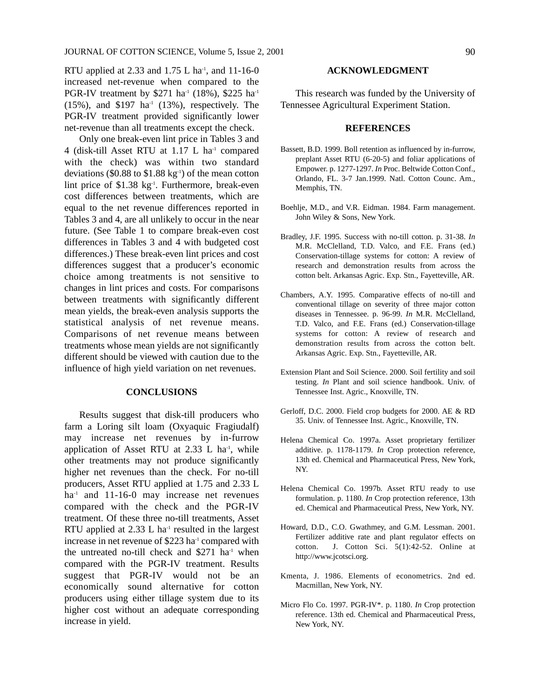RTU applied at 2.33 and  $1.75$  L ha<sup>-1</sup>, and  $11-16-0$ increased net-revenue when compared to the PGR-IV treatment by \$271 ha<sup>-1</sup> (18%), \$225 ha<sup>-1</sup>  $(15\%)$ , and \$197 ha<sup>-1</sup>  $(13\%)$ , respectively. The PGR-IV treatment provided significantly lower net-revenue than all treatments except the check.

Only one break-even lint price in Tables 3 and 4 (disk-till Asset RTU at 1.17 L ha<sup>-1</sup> compared with the check) was within two standard deviations (\$0.88 to  $$1.88 \text{ kg}^{-1}$ ) of the mean cotton lint price of \$1.38 kg<sup>-1</sup>. Furthermore, break-even cost differences between treatments, which are equal to the net revenue differences reported in Tables 3 and 4, are all unlikely to occur in the near future. (See Table 1 to compare break-even cost differences in Tables 3 and 4 with budgeted cost differences.) These break-even lint prices and cost differences suggest that a producer's economic choice among treatments is not sensitive to changes in lint prices and costs. For comparisons between treatments with significantly different mean yields, the break-even analysis supports the statistical analysis of net revenue means. Comparisons of net revenue means between treatments whose mean yields are not significantly different should be viewed with caution due to the influence of high yield variation on net revenues.

#### **CONCLUSIONS**

Results suggest that disk-till producers who farm a Loring silt loam (Oxyaquic Fragiudalf) may increase net revenues by in-furrow application of Asset RTU at  $2.33$  L ha<sup>-1</sup>, while other treatments may not produce significantly higher net revenues than the check. For no-till producers, Asset RTU applied at 1.75 and 2.33 L ha<sup>-1</sup> and 11-16-0 may increase net revenues compared with the check and the PGR-IV treatment. Of these three no-till treatments, Asset RTU applied at  $2.33$  L ha<sup>-1</sup> resulted in the largest increase in net revenue of \$223 ha<sup>-1</sup> compared with the untreated no-till check and  $$271$  ha<sup>-1</sup> when compared with the PGR-IV treatment. Results suggest that PGR-IV would not be an economically sound alternative for cotton producers using either tillage system due to its higher cost without an adequate corresponding increase in yield.

#### **ACKNOWLEDGMENT**

This research was funded by the University of Tennessee Agricultural Experiment Station.

#### **REFERENCES**

- Bassett, B.D. 1999. Boll retention as influenced by in-furrow, preplant Asset RTU (6-20-5) and foliar applications of Empower. p. 1277-1297. *In* Proc. Beltwide Cotton Conf., Orlando, FL. 3-7 Jan.1999. Natl. Cotton Counc. Am., Memphis, TN.
- Boehlje, M.D., and V.R. Eidman. 1984. Farm management. John Wiley & Sons, New York.
- Bradley, J.F. 1995. Success with no-till cotton. p. 31-38. *In* M.R. McClelland, T.D. Valco, and F.E. Frans (ed.) Conservation-tillage systems for cotton: A review of research and demonstration results from across the cotton belt. Arkansas Agric. Exp. Stn., Fayetteville, AR.
- Chambers, A.Y. 1995. Comparative effects of no-till and conventional tillage on severity of three major cotton diseases in Tennessee. p. 96-99. *In* M.R. McClelland, T.D. Valco, and F.E. Frans (ed.) Conservation-tillage systems for cotton: A review of research and demonstration results from across the cotton belt. Arkansas Agric. Exp. Stn., Fayetteville, AR.
- Extension Plant and Soil Science. 2000. Soil fertility and soil testing. *In* Plant and soil science handbook. Univ. of Tennessee Inst. Agric., Knoxville, TN.
- Gerloff, D.C. 2000. Field crop budgets for 2000. AE & RD 35. Univ. of Tennessee Inst. Agric., Knoxville, TN.
- Helena Chemical Co. 1997a. Asset proprietary fertilizer additive. p. 1178-1179. *In* Crop protection reference, 13th ed. Chemical and Pharmaceutical Press, New York, NY.
- Helena Chemical Co. 1997b. Asset RTU ready to use formulation. p. 1180. *In* Crop protection reference, 13th ed. Chemical and Pharmaceutical Press, New York, NY.
- Howard, D.D., C.O. Gwathmey, and G.M. Lessman. 2001. Fertilizer additive rate and plant regulator effects on cotton. J. Cotton Sci. 5(1):42-52. Online at http://www.jcotsci.org.
- Kmenta, J. 1986. Elements of econometrics. 2nd ed. Macmillan, New York, NY.
- Micro Flo Co. 1997. PGR-IV\*. p. 1180. *In* Crop protection reference. 13th ed. Chemical and Pharmaceutical Press, New York, NY.